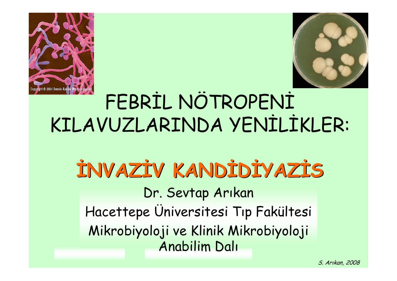



# FEBRİL NÖTROPENİ KILAVUZLARINDA YENİLİKLER:

#### Dr. Sevtap Arıkan Hacettepe Üniversitesi Tıp Fakültesi Mikrobiyoloji ve Klinik Mikrobiyoloji Anabilim Dalı **İNVAZİV KANDİDİYAZİS**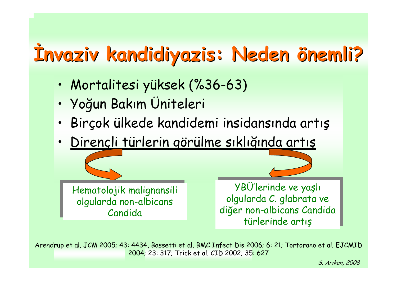# **İnvaziv kandidiyazis kandidiyazis: Neden : Neden önemli?**

- •Mortalitesi yüksek (%36-63)
- •Yoğun Bakım Üniteleri
- •Birçok ülkede kandidemi insidansında artış
- •Dirençli türlerin görülme sıklığında artış

Hematolojik malignansili Hematolojik malignansili olgularda non-albicans olgularda non-albicans Candida Candida

YBÜ'lerinde ve yaşlı YBÜ'lerinde ve yaşlı olgularda C. glabrata ve olgularda C. glabrata ve diğer non-albicans Candida diğer non-albicans Candida türlerinde artış türlerinde artış

Arendrup et al. JCM 2005; 43: 4434, Bassetti et al. BMC Infect Dis 2006; 6: 21; Tortorano et al. EJCMID 2004; 23: 317; Trick et al. CID 2002; 35: 627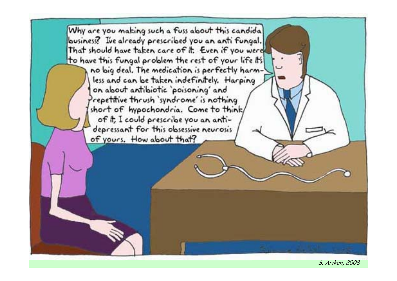Why are you making such a fuss about this candida business? Ive already prescribed you an anti fungal. That should have taken care of it. Even if you were to have this fungal problem the rest of your life its no big deal. The medication is perfectly harmless and can be taken indefinitely. Harping on about antibiotic `poisoning' and repetitive thrush `syndrome' is nothing short of hypochondria. Come to think, of it, I could prescribe you an antidepressant for this obsessive neurosis of yours. How about that?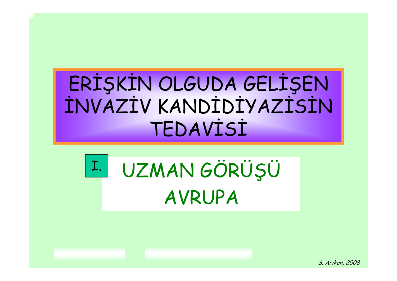### ERİŞKİN OLGUDA GELİŞEN İNVAZİV KANDİDİYAZİSİN TEDAVİSİ

#### UZMAN GÖRÜŞÜ AVRUPA  $I.$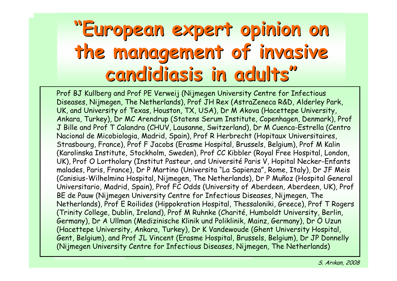### **"European expert opinion on European expert opinion on the management of invasive the management of invasive candidiasis candidiasis in adults in adults "**

Prof BJ Kullberg and Prof PE Verweij (Nijmegen University Centre for Infectious Diseases, Nijmegen, The Netherlands), Prof JH Rex (AstraZeneca R&D, Alderley Park, UK, and University of Texas, Houston, TX, USA), Dr M Akova (Hacettepe University, Ankara, Turkey), Dr MC Arendrup (Statens Serum Institute, Copenhagen, Denmark), Prof J Bille and Prof T Calandra (CHUV, Lausanne, Switzerland), Dr M Cuenca-Estrella (Centro Nacional de Micobiologia, Madrid, Spain), Prof R Herbrecht (Hopitaux Universitaires, Strasbourg, France), Prof F Jacobs (Erasme Hospital, Brussels, Belgium), Prof M Kalin (Karolinska Institute, Stockholm, Sweden), Prof CC Kibbler (Royal Free Hospital, London, UK), Prof O Lortholary (Institut Pasteur, and Université Paris V, Hopital Necker-Enfants malades, Paris, France), Dr P Martino (Universita "La Sapienza", Rome, Italy), Dr JF Meis (Canisius-Wilhelmina Hospital, Nijmegen, The Netherlands), Dr P Muñoz (Hospital General Universitario, Madrid, Spain), Prof FC Odds (University of Aberdeen, Aberdeen, UK), Prof BE de Pauw (Nijmegen University Centre for Infectious Diseases, Nijmegen, The Netherlands), Prof E Roilides (Hippokration Hospital, Thessaloniki, Greece), Prof T Rogers (Trinity College, Dublin, Ireland), Prof M Ruhnke (Charité, Humboldt University, Berlin, Germany), Dr A Ullman (Medizinische Klinik und Poliklinik, Mainz, Germany), Dr Ö Uzun (Hacettepe University, Ankara, Turkey), Dr K Vandewoude (Ghent University Hospital, Gent, Belgium), and Prof JL Vincent (Erasme Hospital, Brussels, Belgium), Dr JP Donnelly (Nijmegen University Centre for Infectious Diseases, Nijmegen, The Netherlands)